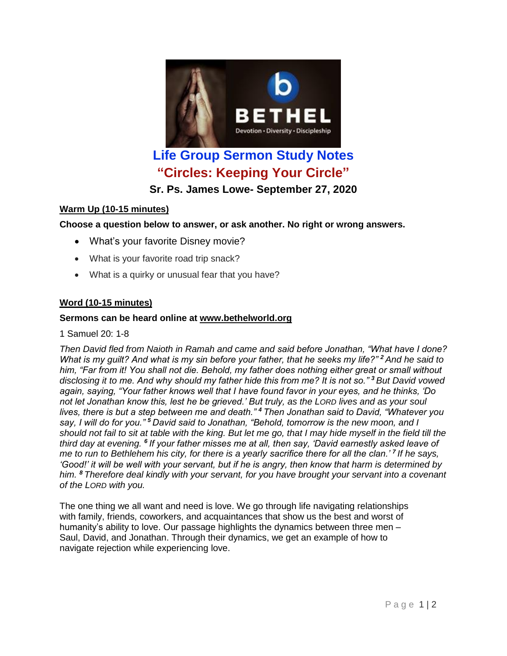

# **"Circles: Keeping Your Circle"**

**Sr. Ps. James Lowe- September 27, 2020**

# **Warm Up (10-15 minutes)**

**Choose a question below to answer, or ask another. No right or wrong answers.**

- What's your favorite Disney movie?
- What is your favorite road trip snack?
- What is a quirky or unusual fear that you have?

# **Word (10-15 minutes)**

### **Sermons can be heard online at [www.bethelworld.org](http://www.bethelworld.org/)**

1 Samuel 20: 1-8

*Then David fled from Naioth in Ramah and came and said before Jonathan, "What have I done? What is my guilt? And what is my sin before your father, that he seeks my life?" <sup>2</sup> And he said to him, "Far from it! You shall not die. Behold, my father does nothing either great or small without disclosing it to me. And why should my father hide this from me? It is not so." <sup>3</sup> But David vowed again, saying, "Your father knows well that I have found favor in your eyes, and he thinks, 'Do not let Jonathan know this, lest he be grieved.' But truly, as the LORD lives and as your soul lives, there is but a step between me and death." <sup>4</sup> Then Jonathan said to David, "Whatever you say, I will do for you." <sup>5</sup> David said to Jonathan, "Behold, tomorrow is the new moon, and I should not fail to sit at table with the king. But let me go, that I may hide myself in the field till the third day at evening. <sup>6</sup> If your father misses me at all, then say, 'David earnestly asked leave of me to run to Bethlehem his city, for there is a yearly sacrifice there for all the clan.' <sup>7</sup> If he says, 'Good!' it will be well with your servant, but if he is angry, then know that harm is determined by him. <sup>8</sup> Therefore deal kindly with your servant, for you have brought your servant into a covenant of the LORD with you.*

The one thing we all want and need is love. We go through life navigating relationships with family, friends, coworkers, and acquaintances that show us the best and worst of humanity's ability to love. Our passage highlights the dynamics between three men – Saul, David, and Jonathan. Through their dynamics, we get an example of how to navigate rejection while experiencing love.